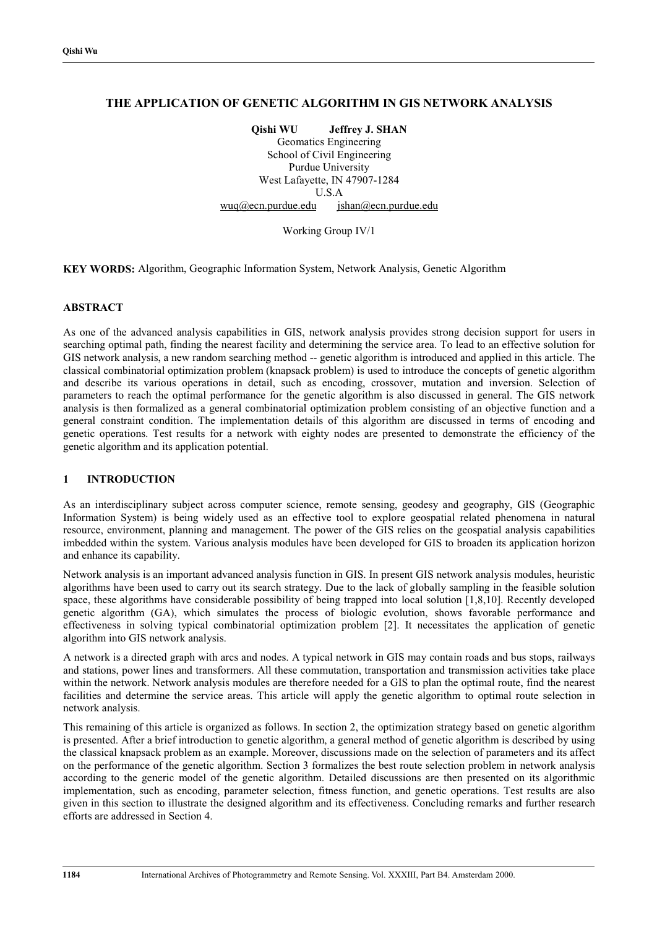# **THE APPLICATION OF GENETIC ALGORITHM IN GIS NETWORK ANALYSIS**

Oishi WU **WU** Jeffrey J. SHAN<br>Geomatics Engineering School of Civil Engineering Purdue University West Lafayette, IN 47907-1284  $U.S.A$  $wuq@een.purdue.edu$   $ishan@een.purdue.edu$ <u>www.purdue.edu jahrengere.purdue.edu</u>

## Working Group IV/1

**KEY WORDS:** Algorithm, Geographic Information System, Network Analysis, Genetic Algorithm

## **ABSTRACT ABSTRACT**

As one of the advanced analysis capabilities in GIS, network analysis provides strong decision support for users in searching optimal path, finding the nearest facility and determining the service area. To lead to an effec GIS network analysis, a new random searching method -- genetic algorithm is introduced and applied in this article. The classical combinatorial optimization problem (knapsack problem) is used to introduce the concepts of genetic algorithm and describe its various operations in detail, such as encoding, crossover, mutation and inversion. Selection of parameters to reach the optimal performance for the genetic algorithm is also discussed in general. The GIS network analysis is then formalized as a general combinatorial optimization problem consisting of an objective function and a general constraint condition. The implementation details of this algorithm are discussed in terms of encoding and genetic operations. Test results for a network with eighty nodes are presented to demonstrate the efficiency of the genetic algorithm and its annication notential  $\sum_{i=1}^{\infty}$  and  $\sum_{i=1}^{\infty}$  and  $\sum_{i=1}^{\infty}$  of the efficiency of the efficiency of the efficiency of the efficiency of the efficiency of the efficiency of the effici genetic algorithm and its application potential.

### $\mathbf{1}$ **INTRODUCTION 1 INTRODUCTION**

As an interdisciplinary subject across computer science, remote sensing, geodesy and geography, GIS (Geographic Information System) is being widely used as an effective tool to explore geospatial related phenomena in natur resource, environment, planning and management. The power of the GIS relies on the geospatial analysis capabilities imbedded within the system. Various analysis modules have been developed for GIS to broaden its application horizon and enhance its capability.

Network analysis is an important advanced analysis function in GIS. In present GIS network analysis modules, heuristic algorithms have been used to carry out its search strategy. Due to the lack of globally sampling in the feasible solution space, these algorithms have considerable possibility of being trapped into local solution  $[1,8,10]$ . Recently developed genetic algorithm (GA), which simulates the process of biologic evolution, shows favorable performance and effectiveness in solving typical combinatorial optimization problem [2]. It necessitates the application of genetic algorithm into GIS network analysis. algorithm into GIS network analysis.

A network is a directed graph with arcs and nodes. A typical network in GIS may contain roads and bus stops, railways within the network. Network analysis modules are therefore needed for a GIS to plan the optimal route, find the nearest facilities and determine the service areas. This article will apply the genetic algorithm to optimal route selection in for the service areas. This article will algorithm to optimal route  $\frac{1}{\sqrt{1}}$  of  $\frac{1}{\sqrt{2}}$  route selection in the generic selection in the generic selection in the generic selection in the selection in the selection network analysis.<br>This remaining of this article is organized as follows. In section 2, the optimization strategy based on genetic algorithm

is presented. After a brief introduction to genetic algorithm, a general method of genetic algorithm is described by using the classical knapsack problem as an example. Moreover, discussions made on the selection of parameters and its affect on the performance of the genetic algorithm. Section 3 formalizes the best route selection problem in network analysis according to the generic model of the genetic algorithm. Detailed discussions are then presented on its algorithmic implementation, such as encoding, parameter selection, fitness function, and genetic operations. Test results are also given in this section to illustrate the designed algorithm and its effectiveness. Concluding remarks and further research efforts are addressed in Section 4. efforts are addressed in Section 4.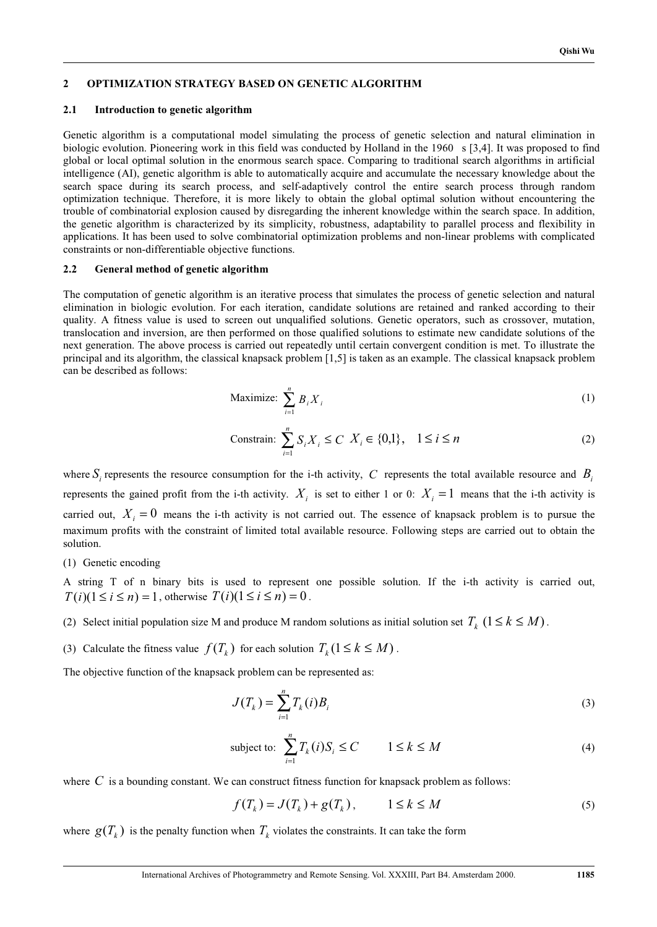### $\overline{2}$ **OPTIMIZATION STRATEGY BASED ON GENETIC ALGORITHM 2 OPTIMIZATION STRATEGY BASED ON GENETIC ALGORITHM**

## **2.1 Introduction to genetic algorithm**

Genetic algorithm is a computational model simulating the process of genetic selection and natural elimination in<br>biologic evolution. Pioneering work in this field was conducted by Holland in the 1960 s [3,4]. It was propo global or local optimal solution in the enormous search space. Comparing to traditional search algorithms in artificial intelligence (AI), genetic algorithm is able to automatically acquire and accumulate the necessary knowledge about the search space during its search process, and self-adaptively control the entire search process through random optimization technique. Therefore, it is more likely to obtain the global optimal solution without encountering the trouble of combinatorial explosion caused by disregarding the inherent knowledge within the search space. In addition, the genetic algorithm is characterized by its simplicity, robustness, adaptability to parallel process and flexibility in applications. It has been used to solve combinatorial optimization problems and non-linear problems with complicated  $\epsilon$  plus between used to solve constraints or non-differentiable objective functions constraints or non-differentiable objective functions.

# **2.2 General method of genetic algorithm**

The computation of genetic algorithm is an iterative process that simulates the process of genetic selection and natural elimination in biologic evolution. For each iteration, candidate solutions are retained and ranked ac quality. A fitness value is used to screen out unqualified solutions. Genetic operators, such as crossover, mutation, translocation and inversion, are then performed on those qualified solutions to estimate new candidate solutions of the next generation. The above process is carried out repeatedly until certain convergent condition is met. To illustrate the principal and its algorithm, the classical knapsack problem  $[1,5]$  is taken as an example. The classical knapsack problem can be described as follows:

$$
\text{Maximize: } \sum_{i=1}^{n} B_i X_i \tag{1}
$$

$$
\text{Constrain: } \sum_{i=1}^{n} S_i X_i \le C \ X_i \in \{0,1\}, \quad 1 \le i \le n \tag{2}
$$

where *i S* represents the resource consumption for the i-th activity, *C* represents the total available resource and *Bi* represents the gained profit from the i-th activity.  $X_i$  is set to either 1 or 0:  $X_i = 1$  means that the i-th activity is carried out,  $X_i = 0$  means the i-th activity is not carried out. The essence of knapsack problem is to pursue the maximum profits with the constraint of limited total available resource. Following steps are carried out to  $\frac{1}{2}$  is the constraint of limited total available resource. For  $\frac{1}{2}$  steps are carried out to obtain the carried out to obtain the carried out to obtain the carried out to obtain the carried out to obtain the ca

(1) Genetic encoding<br>A string T of n binary bits is used to represent one possible solution. If the i-th activity is carried out,  $T(i)(1 \le i \le n) = 1$ , otherwise  $T(i)(1 \le i \le n) = 0$ .

- (2) Select initial population size M and produce M random solutions as initial solution set  $T_k$  ( $1 \leq k \leq M$ ).
- (3) Calculate the fitness value  $f(T_k)$  for each solution  $T_k (1 \leq k \leq M)$ .

The objective function of the knapsack problem can be represented as:

$$
J(T_k) = \sum_{i=1}^{n} T_k(i) B_i
$$
 (3)

subject to: 
$$
\sum_{i=1}^{n} T_k(i) S_i \leq C \qquad 1 \leq k \leq M
$$
 (4)

where *C* is a bounding constant. We can construct fitness function for analysis problem as follows:

 $f(T_k) = J(T_k) + g(T_k)$ ,  $1 \le k \le M$  (5)

where  $g(T_k)$  is the penalty function when  $T_k$  violates the constraints. It can take the form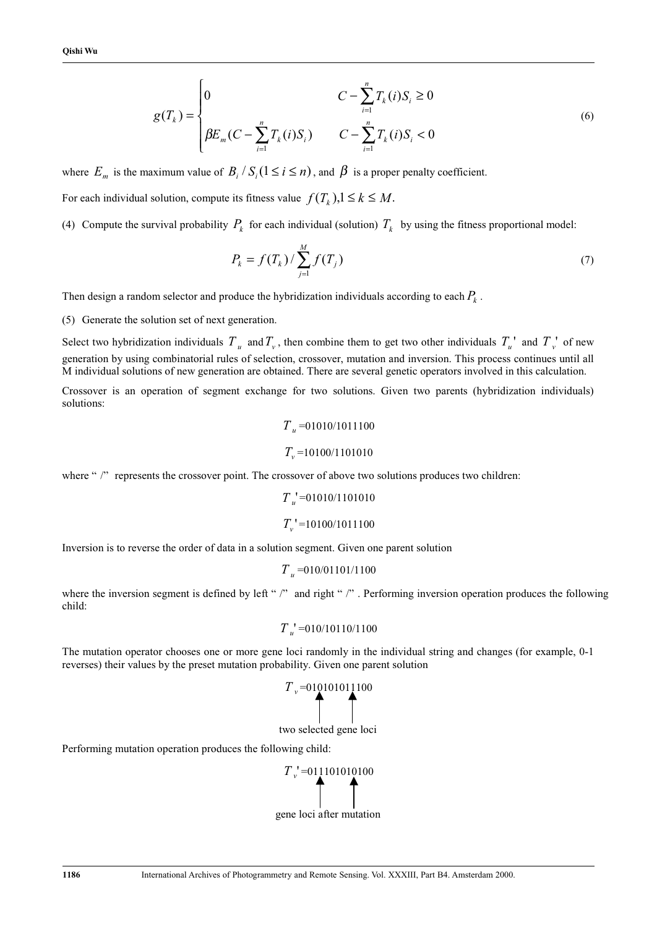$$
g(T_k) = \begin{cases} 0 & C - \sum_{i=1}^{n} T_k(i) S_i \ge 0 \\ \beta E_m(C - \sum_{i=1}^{n} T_k(i) S_i) & C - \sum_{i=1}^{n} T_k(i) S_i < 0 \end{cases}
$$
(6)

where  $E_m$  is the maximum value of  $B_i / S_i (1 \le i \le n)$ , and  $\beta$  is a proper penalty coefficient.

For each individual solution, compute its fitness value  $f(T_k)$ ,  $1 \leq k \leq M$ .

(4) Compute the survival probability  $P_k$  for each individual (solution)  $T_k$  by using the fitness proportional model:

$$
P_k = f(T_k) / \sum_{j=1}^{M} f(T_j)
$$
 (7)

Then design a random selector and produce the hybridization individuals according to each  $P_k$ .

(5) Generate the solution set of next generation.

Select two hybridization individuals  $T_u$  and  $T_v$ , then combine them to get two other individuals  $T_u$ <sup>,</sup> and  $T_v$ <sup>,</sup> of new generation by using combinatorial rules of selection, crossover, mutation and inversion. This p generation by using compiled rules of selection,  $\alpha$  is used to the selection of the selection of selection,  $\alpha$  individual solutions of new generation are obtained. There are several genetic operators involved in this M individual solutions of new generation are obtained. There are several genetic operators involved in this calculation.

Crossover is an operation of segment exchange for two solutions. Given two parents (hybridization individuals)

$$
T_u = 01010/1011100
$$
  

$$
T_v = 10100/1101010
$$

where " /" represents the crossover point. The crossover of above two solutions produces two children:

$$
T_u = 01010/1101010
$$
  

$$
T_v = 10100/1011100
$$

Inversion is to reverse the order of data in a solution segment. Given one parent solution

*T u* =010/01101/1100

where the inversion segment is defined by left " /" and right " /". Performing inversion operation produces the following child:

$$
T_u = 010/10110/1100
$$

 $T$  mutation operator chooses one or more generator  $T$  is the individual string and changes (for example,  $\frac{1}{2}$ ).  $r$ reverses) the preset mutation probability. Given one parameter  $\frac{1}{2}$ 

$$
T_v = 010101011100
$$
\n
$$
two selected gene loci
$$

Performing mutation operation produces the following child:

$$
T_v = 011101010100
$$
\n
$$
gene loci after mutation
$$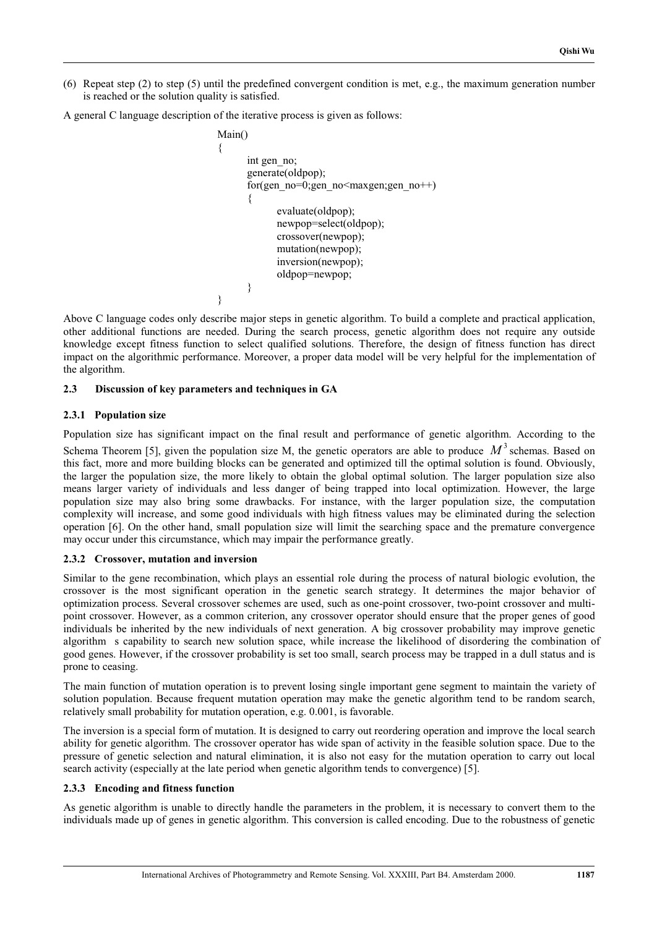$\epsilon$  is reached or the solution quality is satisfied  $\frac{1}{1}$  is satisfied.

A general C language description of the iterative process is given as follows:

```
Main()
\overline{\phantom{a}}int gen_no;<br>generate(oldpop);
         for(gen no=0;gen no<maxgen;gen no++)
         fforcegengengengengengen\frac{1}{2}<sup>{</sup>
                  evaluate(oldpop);<br>newpop=select(oldpop);
                  crossover(newpop);
                  mutation(newpop);
                  inversion(newpop);
                  inversion(newpop);
                  \mathbf{r} \cdot \mathbf{r} or \mathbf{r} \cdot \mathbf{r}}
```
<sup>3</sup><br>Above C language codes only describe major steps in genetic algorithm. To build a complete and practical application, other additional functions are needed. During the search process, genetic algorithm does not require any outside knowledge except fitness function to select qualified solutions. Therefore, the design of fitness function has direct  $k_{\text{max}}$  for the select finite performance. Moreover, a proper data model will be very beligible or the implementation of  $k_{\text{max}}$  $\mathbf{a}$  is performed with performance. Moreover, a proper data model will be very helpful for the implementation of the implementation of the implementation of the implementation of the implementation of the implementati the algorithm.

# **2.3 Discussion of key parameters and techniques in GA**

2.3.1 **Population size**<br>Population size has significant impact on the final result and performance of genetic algorithm. According to the Schema Theorem [5], given the population size M, the genetic operators are able to produce  $M^3$  schemas. Based on this fact, more and more building blocks can be generated and optimized till the optimal solution is found. Obviously, the larger the population size, the more likely to obtain the global optimal solution. The larger population size also means larger variety of individuals and less danger of being trapped into local optimization. However, the large population size may also bring some drawbacks. For instance, with the larger population size, the computation complexity will increase, and some good individuals with high fitness values may be eliminated during the selection operation [6]. On the other hand, small population size will limit the searching space and the premature convergence  $\frac{1}{2}$  on the other hand, small population size will be not the other hand, small population size  $\frac{1}{2}$  and  $\frac{1}{2}$  and  $\frac{1}{2}$  convergence and the premature convergence and the preformance or easily may occur under this circumstance, which may impair the performance greatly.

2.3.2 **Crossover, mutation and inversion**<br>Similar to the gene recombination, which plays an essential role during the process of natural biologic evolution, the crossover is the most significant operation in the genetic search strategy. It determines the major behavior of optimization process. Several crossover schemes are used, such as one-point crossover, two-point crossover and multipoint crossover. However, as a common criterion, any crossover operator should ensure that the proper genes of good individuals be inherited by the new individuals of next generation. A big crossover probability may improve genetic algorithm s capability to search new solution space, while increase the likelihood of disordering the combination of algorithm s capability to search new solution space, while increase the likelihood of disordering the computation space, which is set too small search process may be tranned in a dull status and is good genes. However, if the crossover probability is set to small, see the cross may be trapped in a dull status and is seen in a dull status and is seen in a dull status and is defined in a dull status and is defined in

prone to ceasing.<br>The main function of mutation operation is to prevent losing single important gene segment to maintain the variety of solution population. Because frequent mutation operation may make the genetic algorithm tend to be random search, relatively small probability for mutation operation, e.g. 0.001, is favorable.

The inversion is a special form of mutation. It is designed to carry out reordering operation and improve the local search ability for genetic algorithm. The crossover operator has wide span of activity in the feasible solution space. Due to the pressure of genetic selection and natural elimination, it is also not easy for the mutation operation to carry out local search activity (especially at the late period when genetic algorithm tends to convergence) [5]. search activity (especially at the late period when genetic algorithm tends to convergence) [5].

2.3.3 **Encoding and fitness function**<br>As genetic algorithm is unable to directly handle the parameters in the problem, it is necessary to convert them to the individuals made un of genes in genetic algorithm. This conversion is called encoding. Due to the robustness of genetic individuals made up of genes in genetic algorithm. This conversion is called encoding. Due to the robustness of genetic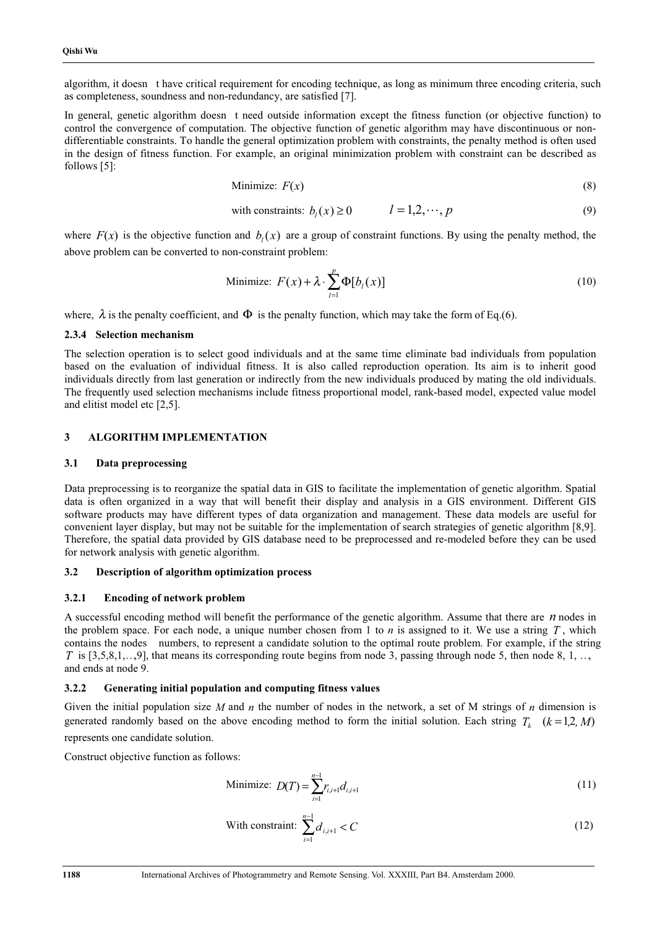algorithm, it doesn thave critical requirement for encoding technique, as long as minimum three encoding criteria, such as completeness, soundness and non-redundancy, are satisfied [7].

In general, genetic algorithm doesn t need outside information except the fitness function (or objective function) to control the convergence of computation. The objective function of genetic algorithm may have discontinuous or nondifferentiable constraints. To handle the general optimization problem with constraints, the penalty method is often used in the design of fitness function. For example an original minimization problem with constraint can be described as follows  $[5]$ : follows [5]:

Minimize: 
$$
F(x)
$$
 (8)

with constraints:  $b_i(x) \ge 0$   $l = 1,2,\dots, p$  (9)

where  $\frac{f(x)}{g(x)}$  is the objective function and  $\frac{f(x)}{g(x)}$  is the penalty method. By using the penalty method, the penalty method, the penalty method, the penalty method, the penalty method, the penalty method, the pen above problem can be converted to non-constraint problem:

Minimize: 
$$
F(x) + \lambda \cdot \sum_{l=1}^{p} \Phi[b_l(x)]
$$
 (10)

where,  $\lambda$  is the penalty coefficient, and  $\Phi$  is the penalty function, which may take the form of Eq.(6).<br>2.3.4 Selection mechanism

The selection operation is to select good individuals and at the same time eliminate bad individuals from population based on the evaluation of individual fitness. It is also called reproduction operation. Its aim is to inherit good individuals directly from last generation or indirectly from the new individuals produced by mating the old individuals. The frequently used selection mechanisms include fitness proportional model, rank-based model, expected value model and elitist model etc  $\begin{bmatrix} 2 & 5 \end{bmatrix}$ and eliminates  $\cdots$   $\cdots$ 

## **3 ALGORITHM IMPLEMENTATION**

## $3.1$ **3.1 Data preprocessing**

Data preprocessing is to reorganize the spatial data in GIS to facilitate the implementation of genetic algorithm. Spatial data is often organized in a way that will benefit their display and analysis in a GIS environment. software products may have different types of data organization and management. These data models are useful for convenient layer display, but may not be suitable for the implementation of search strategies of genetic algorithm [8,9]. Therefore, the spatial data provided by GIS database need to be preprocessed and re-modeled before they can be used  $\frac{1}{2}$  for network analysis with genetic algorithm for network analysis with genetic algorithm.

## **3.2 Description of algorithm optimization process**

**3.2.1 Encoding of network problem**<br>**A** successful encoding method will benefit the performance of the genetic algorithm. Assume that there are *n* nodes in the problem space. For each node, a unique number chosen from 1 to *n* is assigned to it. We use a string  $T$ , which contains the nodes numbers, to represent a candidate solution to the optimal route problem. For example, if the string  $\overline{T}$  is [3,5,8,1) and the nodes its corresponding route begins from node 3 passing through node 5 then node 8,1  $T = \frac{1}{2}$  is  $T = \frac{1}{2}$  is  $T = \frac{1}{2}$  . Then node  $3$  is the significant of  $T = \frac{1}{2}$  is the significant of  $T = \frac{1}{2}$  is the significant of  $T = \frac{1}{2}$  is the significant of  $T = \frac{1}{2}$  is the significant of  $T = \frac$ 

**3.2.2 Generating initial population and computing fitness values**<br>Given the initial population size M and n the number of nodes in the network, a set of M strings of n dimension is generated randomly based on the above encoding method to form the initial solution. Each string  $T_k$   $(k = 1,2, M)$ represents one candidate solution.

Construct objective function as follows:

Minimize: 
$$
D(T) = \sum_{i=1}^{n-1} r_{i,i+1} d_{i,i+1}
$$
 (11)

With constraint: 
$$
\sum_{i=1}^{n-1} d_{i,i+1} < C \tag{12}
$$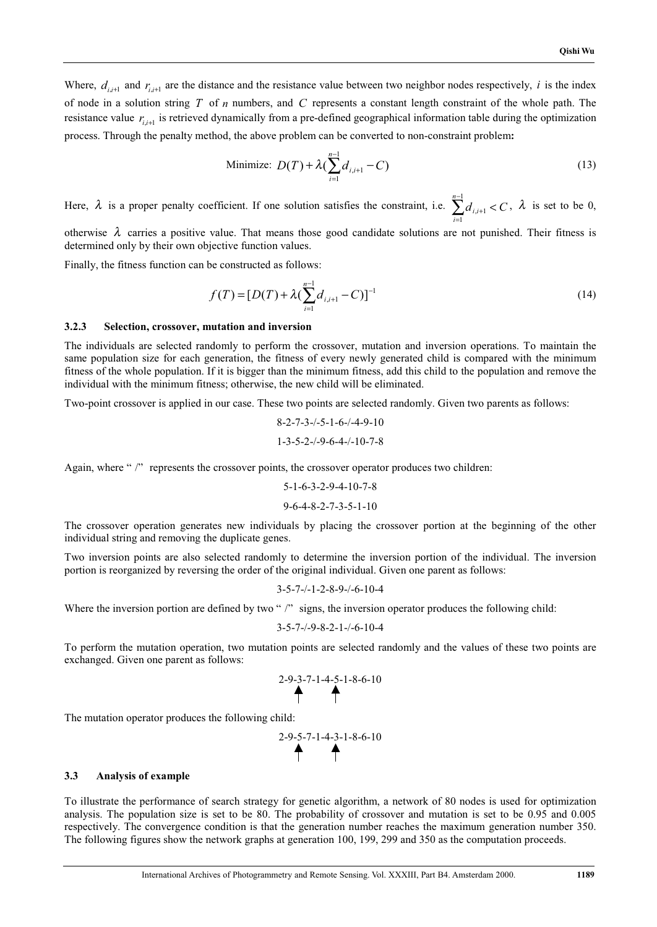Where,  $d_{i,i+1}$  and  $r_{i,i+1}$  are the distance and the resistance value between two neighbor nodes respectively, *i* is the index of node in a solution string *T* of *n* numbers, and *C* represents a constant length cons of node in a solution string *T* of *n* numbers, and *C* represents a constant length constraint of the whole path. The resistance value *i*,*i*+1 *r* is retrieved dynamically from a pre-defined geographical information table during the optimization process. Through the penalty method, the above problem can be converted to non-constraint problem**:**

Minimize: 
$$
D(T) + \lambda \left( \sum_{i=1}^{n-1} d_{i,i+1} - C \right)
$$
 (13)

Here,  $\lambda$  is a proper penalty coefficient. If one solution satisfies the constraint, i.e.  $\sum_{i=1}^{n-1} d_{i,i+1} < C$  $\sum_{i=1}^{\infty}$ <sup> $\alpha$ </sup> i<sub>i</sub> i +  $\int_{1}^{1} d_{i,i+1} < C$ ,  $\lambda$  is set to be 0,

otherwise  $\lambda$  carries a positive value. That means those good candidate solutions are not punished. Their fitness is determined only by their own objective function values determined only by their own objective function values.

Finally, the fitness function can be constructed as follows:

$$
f(T) = [D(T) + \lambda (\sum_{i=1}^{n-1} d_{i,i+1} - C)]^{-1}
$$
\n(14)

**3.2.3 Selection, crossover, mutation and inversion** same population size for each generation, the fitness of every newly generated child is compared with the minimum fitness of the whole population. If it is bigger than the minimum fitness, add this child to the population and remove the findividual with the minimum fitness: otherwise the new child will be eliminated individual with the minimum fitness; otherwise, the new child will be eliminated.

Two-point crossover is applied in our case. These two points are selected randomly. Given two parents as follows:

$$
8-2-7-3-/-5-1-6-/-4-9-10
$$
  

$$
1-3-5-2-/-9-6-4-/-10-7-8
$$

Again, where " /" represents the crossover points, the crossover operator produces two children:

$$
5-1-6-3-2-9-4-10-7-8
$$
  
0.6.4.8.2.7.3.5.1.10

The crossover operation generates new individuals by placing the crossover portion at the beginning of the other individual string and removing the duplicate genes individual string and removing the duplicate genes.

 $T_{\text{m}}$  is represented by reversing the order of the original individual. Given one parent as follows:  $p \mapsto \alpha$  resorganized by reversing the order of the order order original individual.  $\alpha$ 

$$
3 - 5 - 7 - (-1) - 2 - 8 - 9 - (-6) - 10 - 4
$$

Where the inversion are defined by two  $\mathcal{L}_{\mathbf{S}}$  signs, the inversion operator produces the following child:

$$
3 - 5 - 7 - (-9 - 8 - 2 - 1 - (-6 - 10 - 4
$$

 $T_{\text{c}}$  perform the mutation operation, two mutation points are selected randomly and the values of these two points are exchanged Given one parent as follows: exchanged. Given one parent as follows:

$$
\uparrow^{\text{2-9-3-7-1-4-5-1-8-6-10}}
$$

The mutation operator produces the following child:

$$
\uparrow
$$

## **3.3 Analysis of example**

To illustrate the performance of search strategy for genetic algorithm, a network of 80 nodes is used for optimization analysis. The population size is set to be 80. The probability of crossover and mutation is set to be 0 respectively. The convergence condition is that the generation number reaches the maximum generation number 350. respectively. The contract condition is that the generation is the generation is the commutation number  $\epsilon$  and  $\epsilon$  of  $\epsilon$  of  $\epsilon$  of  $\epsilon$  of  $\epsilon$  of  $\epsilon$  of  $\epsilon$  of  $\epsilon$  of  $\epsilon$  of  $\epsilon$  of  $\epsilon$  of  $\epsilon$  of  $\epsilon$  of  $\epsilon$ The following figures show the network graphs at generation  $\frac{1}{2}$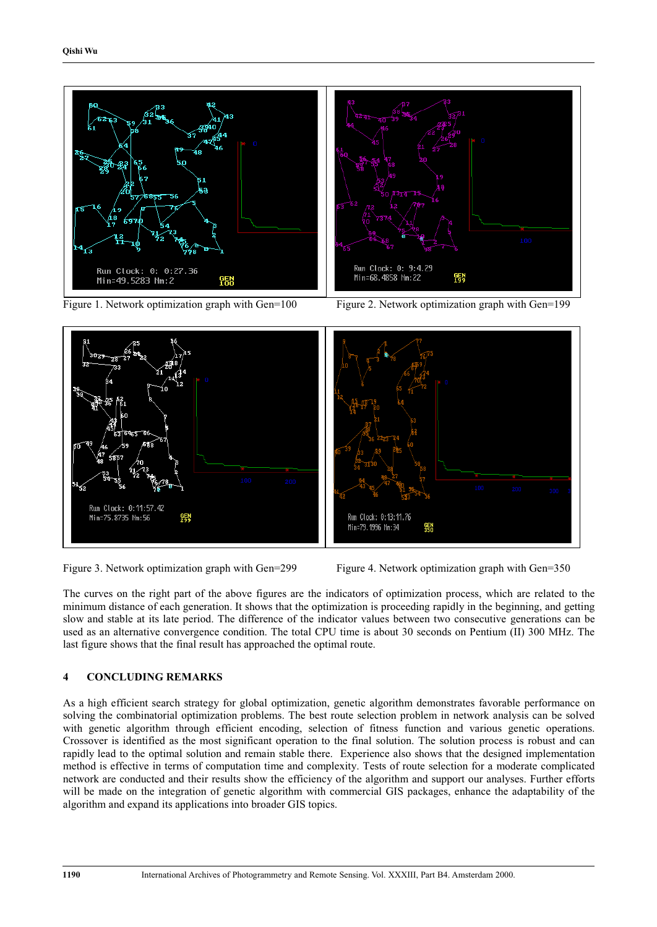

 $\mathcal{F}_{\mathbf{p}}$  . Network optimization graph with Gene $\mathcal{F}_{\mathbf{p}}$ 





 $\mathcal{G}$  3. Network optimization graph with Gene $\mathcal{G}$  and  $\mathcal{G}$  are  $\mathcal{G}$  in graph with General graph with General  $\mathcal{G}$  and  $\mathcal{G}$  are  $\mathcal{G}$  and  $\mathcal{G}$  are  $\mathcal{G}$  and  $\mathcal{G}$  are  $\mathcal{G}$  and  $\mathcal{G$ 

The curves on the right part of the above figures are the indicators of optimization process, which are related to the minimum distance of each generation. It shows that the optimization is proceeding rapidly in the beginn slow and stable at its late period. The difference of the indicator values between two consecutive generations can be used as an alternative convergence condition. The total CPU time is about 30 seconds on Pentium (II) 300 MHz. The Let figure shows that the final result has annoached the ontimal route  $\mathbf{e}$ 

### **CONCLUDING REMARKS**  $\overline{\mathbf{4}}$ **4 CONCLUDING REMARKS**

As a high efficient search strategy for global optimization, genetic algorithm demonstrates favorable performance on solving the combinatorial optimization problems. The best route selection problem in network analysis can with genetic algorithm through efficient encoding, selection of fitness function and various genetic operations. Crossover is identified as the most significant operation to the final solution. The solution process is robust and can rapidly lead to the optimal solution and remain stable there. Experience also shows that the designed implementation method is effective in terms of computation time and complexity. Tests of route selection for a moderate complicated network are conducted and their results show the efficiency of the algorithm and support our analyses. Further efforts will be made on the integration of genetic algorithm with commercial GIS packages, enhance the adaptability of the algorithm and expand its applications into broader GIS tonics algorithm and expand its applications into broader GIS topics.